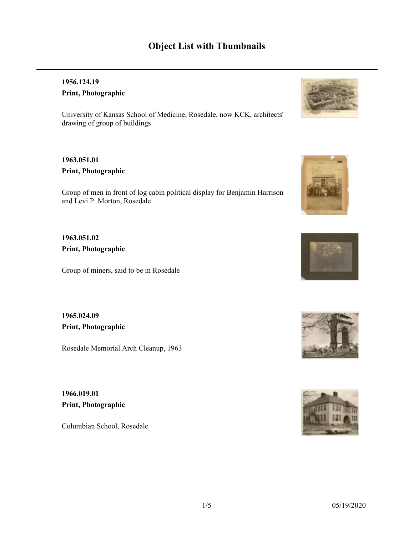# **Object List with Thumbnails**

### **1956.124.19 Print, Photographic**

University of Kansas School of Medicine, Rosedale, now KCK, architects' drawing of group of buildings

### **1963.051.01 Print, Photographic**

Group of men in front of log cabin political display for Benjamin Harrison and Levi P. Morton, Rosedale

**1963.051.02 Print, Photographic**

Group of miners, said to be in Rosedale

**1965.024.09 Print, Photographic**

Rosedale Memorial Arch Cleanup, 1963

**1966.019.01 Print, Photographic**

Columbian School, Rosedale









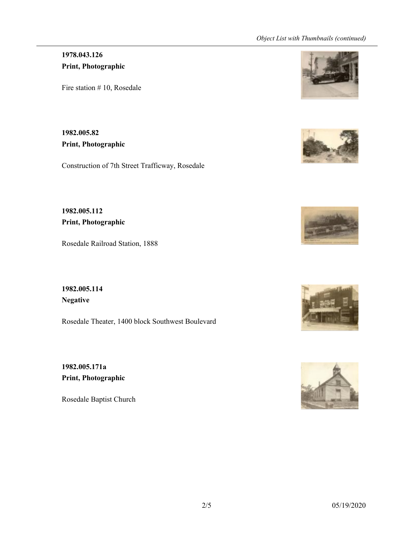#### *Object List with Thumbnails (continued)*

### **1978.043.126 Print, Photographic**

Fire station #10, Rosedale

**1982.005.82 Print, Photographic**

Construction of 7th Street Trafficway, Rosedale

**1982.005.112 Print, Photographic**

Rosedale Railroad Station, 1888

**1982.005.114 Negative**

Rosedale Theater, 1400 block Southwest Boulevard

**1982.005.171a Print, Photographic**

Rosedale Baptist Church









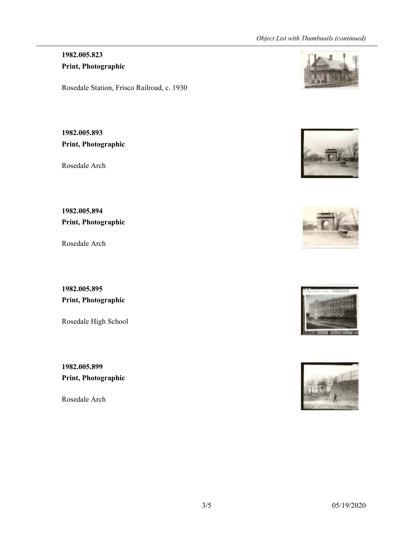# **1982.005.823 Print, Photographic**

Rosedale Station, Frisco Railroad, c. 1930

**1982.005.893 Print, Photographic**

Rosedale Arch

**1982.005.894 Print, Photographic**

Rosedale Arch

**1982.005.895 Print, Photographic**

Rosedale High School

**1982.005.899 Print, Photographic**

Rosedale Arch









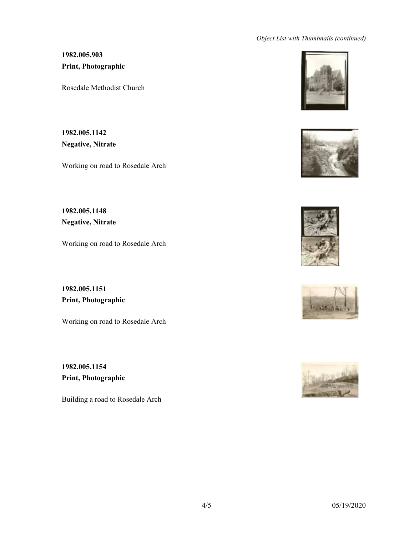#### *Object List with Thumbnails (continued)*

## **1982.005.903 Print, Photographic**

Rosedale Methodist Church

**1982.005.1142 Negative, Nitrate**

Working on road to Rosedale Arch

**1982.005.1148 Negative, Nitrate**

Working on road to Rosedale Arch

**1982.005.1151 Print, Photographic**

Working on road to Rosedale Arch

**1982.005.1154 Print, Photographic**

Building a road to Rosedale Arch